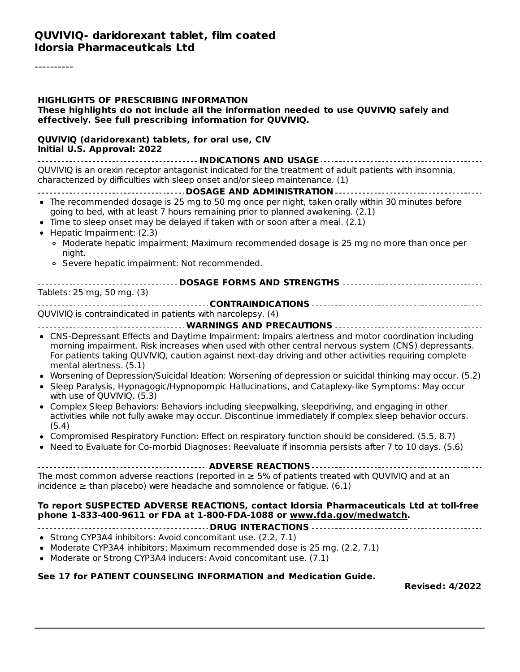----------

| <b>HIGHLIGHTS OF PRESCRIBING INFORMATION</b><br>These highlights do not include all the information needed to use QUVIVIQ safely and<br>effectively. See full prescribing information for QUVIVIQ.                                                                                                                                                                                                                                                                                                                                                            |
|---------------------------------------------------------------------------------------------------------------------------------------------------------------------------------------------------------------------------------------------------------------------------------------------------------------------------------------------------------------------------------------------------------------------------------------------------------------------------------------------------------------------------------------------------------------|
| QUVIVIQ (daridorexant) tablets, for oral use, CIV<br>Initial U.S. Approval: 2022                                                                                                                                                                                                                                                                                                                                                                                                                                                                              |
| QUVIVIQ is an orexin receptor antagonist indicated for the treatment of adult patients with insomnia,<br>characterized by difficulties with sleep onset and/or sleep maintenance. (1)                                                                                                                                                                                                                                                                                                                                                                         |
| • The recommended dosage is 25 mg to 50 mg once per night, taken orally within 30 minutes before<br>going to bed, with at least 7 hours remaining prior to planned awakening. (2.1)<br>• Time to sleep onset may be delayed if taken with or soon after a meal. (2.1)<br>• Hepatic Impairment: (2.3)<br>o Moderate hepatic impairment: Maximum recommended dosage is 25 mg no more than once per<br>night.<br>• Severe hepatic impairment: Not recommended.<br>----------------------------------DOSAGE FORMS AND STRENGTHS --------------------------------- |
| Tablets: 25 mg, 50 mg. (3)                                                                                                                                                                                                                                                                                                                                                                                                                                                                                                                                    |
| QUVIVIQ is contraindicated in patients with narcolepsy. (4)                                                                                                                                                                                                                                                                                                                                                                                                                                                                                                   |
| • CNS-Depressant Effects and Daytime Impairment: Impairs alertness and motor coordination including<br>morning impairment. Risk increases when used with other central nervous system (CNS) depressants.<br>For patients taking QUVIVIQ, caution against next-day driving and other activities requiring complete<br>mental alertness. (5.1)<br>• Worsening of Depression/Suicidal Ideation: Worsening of depression or suicidal thinking may occur. (5.2)                                                                                                    |
| • Sleep Paralysis, Hypnagogic/Hypnopompic Hallucinations, and Cataplexy-like Symptoms: May occur<br>with use of QUVIVIQ. (5.3)<br>• Complex Sleep Behaviors: Behaviors including sleepwalking, sleepdriving, and engaging in other                                                                                                                                                                                                                                                                                                                            |
| activities while not fully awake may occur. Discontinue immediately if complex sleep behavior occurs.<br>(5.4)                                                                                                                                                                                                                                                                                                                                                                                                                                                |
| • Compromised Respiratory Function: Effect on respiratory function should be considered. (5.5, 8.7)<br>• Need to Evaluate for Co-morbid Diagnoses: Reevaluate if insomnia persists after 7 to 10 days. (5.6)                                                                                                                                                                                                                                                                                                                                                  |
|                                                                                                                                                                                                                                                                                                                                                                                                                                                                                                                                                               |
| The most common adverse reactions (reported in $\geq$ 5% of patients treated with QUVIVIQ and at an<br>incidence $\ge$ than placebo) were headache and somnolence or fatigue. (6.1)                                                                                                                                                                                                                                                                                                                                                                           |
| To report SUSPECTED ADVERSE REACTIONS, contact Idorsia Pharmaceuticals Ltd at toll-free<br>phone 1-833-400-9611 or FDA at 1-800-FDA-1088 or www.fda.gov/medwatch.                                                                                                                                                                                                                                                                                                                                                                                             |
| • Strong CYP3A4 inhibitors: Avoid concomitant use. (2.2, 7.1)<br>• Moderate CYP3A4 inhibitors: Maximum recommended dose is 25 mg. (2.2, 7.1)<br>• Moderate or Strong CYP3A4 inducers: Avoid concomitant use. (7.1)                                                                                                                                                                                                                                                                                                                                            |
| See 17 for PATIENT COUNSELING INFORMATION and Medication Guide.<br><b>Revised: 4/2022</b>                                                                                                                                                                                                                                                                                                                                                                                                                                                                     |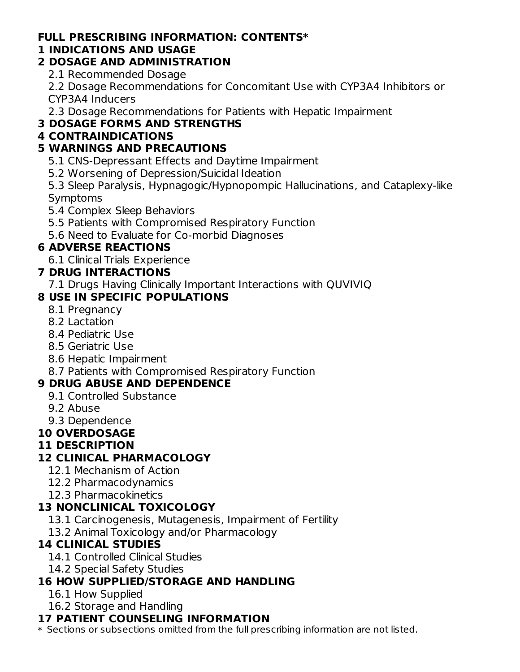### **FULL PRESCRIBING INFORMATION: CONTENTS\***

#### **1 INDICATIONS AND USAGE**

### **2 DOSAGE AND ADMINISTRATION**

2.1 Recommended Dosage

2.2 Dosage Recommendations for Concomitant Use with CYP3A4 Inhibitors or CYP3A4 Inducers

2.3 Dosage Recommendations for Patients with Hepatic Impairment

# **3 DOSAGE FORMS AND STRENGTHS**

# **4 CONTRAINDICATIONS**

# **5 WARNINGS AND PRECAUTIONS**

5.1 CNS-Depressant Effects and Daytime Impairment

5.2 Worsening of Depression/Suicidal Ideation

5.3 Sleep Paralysis, Hypnagogic/Hypnopompic Hallucinations, and Cataplexy-like Symptoms

- 5.4 Complex Sleep Behaviors
- 5.5 Patients with Compromised Respiratory Function
- 5.6 Need to Evaluate for Co-morbid Diagnoses

# **6 ADVERSE REACTIONS**

6.1 Clinical Trials Experience

# **7 DRUG INTERACTIONS**

7.1 Drugs Having Clinically Important Interactions with QUVIVIQ

# **8 USE IN SPECIFIC POPULATIONS**

- 8.1 Pregnancy
- 8.2 Lactation
- 8.4 Pediatric Use
- 8.5 Geriatric Use
- 8.6 Hepatic Impairment
- 8.7 Patients with Compromised Respiratory Function

# **9 DRUG ABUSE AND DEPENDENCE**

- 9.1 Controlled Substance
- 9.2 Abuse
- 9.3 Dependence

# **10 OVERDOSAGE**

#### **11 DESCRIPTION**

# **12 CLINICAL PHARMACOLOGY**

- 12.1 Mechanism of Action
- 12.2 Pharmacodynamics
- 12.3 Pharmacokinetics

# **13 NONCLINICAL TOXICOLOGY**

- 13.1 Carcinogenesis, Mutagenesis, Impairment of Fertility
- 13.2 Animal Toxicology and/or Pharmacology

# **14 CLINICAL STUDIES**

- 14.1 Controlled Clinical Studies
- 14.2 Special Safety Studies

# **16 HOW SUPPLIED/STORAGE AND HANDLING**

- 16.1 How Supplied
- 16.2 Storage and Handling

# **17 PATIENT COUNSELING INFORMATION**

\* Sections or subsections omitted from the full prescribing information are not listed.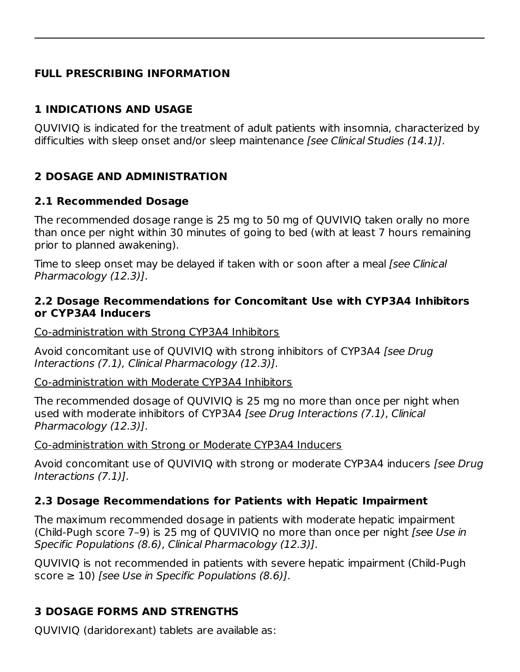# **FULL PRESCRIBING INFORMATION**

# **1 INDICATIONS AND USAGE**

QUVIVIQ is indicated for the treatment of adult patients with insomnia, characterized by difficulties with sleep onset and/or sleep maintenance [see Clinical Studies (14.1)].

# **2 DOSAGE AND ADMINISTRATION**

#### **2.1 Recommended Dosage**

The recommended dosage range is 25 mg to 50 mg of QUVIVIQ taken orally no more than once per night within 30 minutes of going to bed (with at least 7 hours remaining prior to planned awakening).

Time to sleep onset may be delayed if taken with or soon after a meal [see Clinical Pharmacology (12.3)].

#### **2.2 Dosage Recommendations for Concomitant Use with CYP3A4 Inhibitors or CYP3A4 Inducers**

Co-administration with Strong CYP3A4 Inhibitors

Avoid concomitant use of QUVIVIQ with strong inhibitors of CYP3A4 [see Drug Interactions (7.1), Clinical Pharmacology (12.3)].

Co-administration with Moderate CYP3A4 Inhibitors

The recommended dosage of QUVIVIQ is 25 mg no more than once per night when used with moderate inhibitors of CYP3A4 [see Drug Interactions (7.1), Clinical Pharmacology (12.3)].

Co-administration with Strong or Moderate CYP3A4 Inducers

Avoid concomitant use of QUVIVIQ with strong or moderate CYP3A4 inducers [see Drug Interactions (7.1)].

# **2.3 Dosage Recommendations for Patients with Hepatic Impairment**

The maximum recommended dosage in patients with moderate hepatic impairment (Child-Pugh score 7–9) is 25 mg of QUVIVIQ no more than once per night [see Use in Specific Populations (8.6), Clinical Pharmacology (12.3)].

QUVIVIQ is not recommended in patients with severe hepatic impairment (Child-Pugh score  $\geq$  10) [see Use in Specific Populations (8.6)].

# **3 DOSAGE FORMS AND STRENGTHS**

QUVIVIQ (daridorexant) tablets are available as: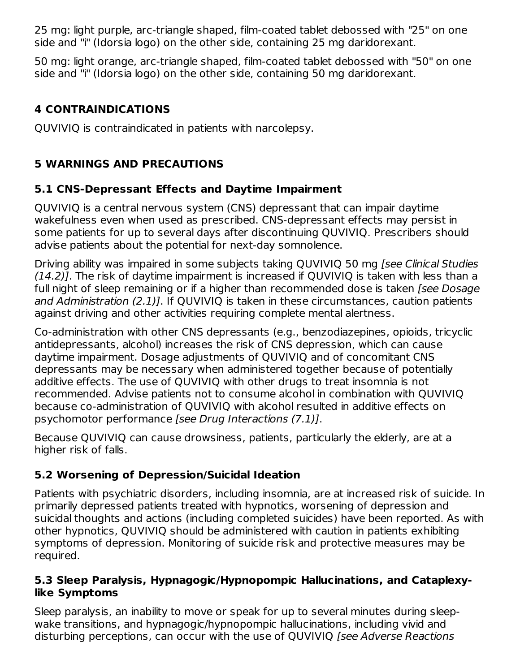25 mg: light purple, arc-triangle shaped, film-coated tablet debossed with "25" on one side and "i" (Idorsia logo) on the other side, containing 25 mg daridorexant.

50 mg: light orange, arc-triangle shaped, film-coated tablet debossed with "50" on one side and "i" (Idorsia logo) on the other side, containing 50 mg daridorexant.

# **4 CONTRAINDICATIONS**

QUVIVIQ is contraindicated in patients with narcolepsy.

# **5 WARNINGS AND PRECAUTIONS**

# **5.1 CNS-Depressant Effects and Daytime Impairment**

QUVIVIQ is a central nervous system (CNS) depressant that can impair daytime wakefulness even when used as prescribed. CNS-depressant effects may persist in some patients for up to several days after discontinuing QUVIVIQ. Prescribers should advise patients about the potential for next-day somnolence.

Driving ability was impaired in some subjects taking QUVIVIQ 50 mg [see Clinical Studies (14.2)]. The risk of daytime impairment is increased if QUVIVIQ is taken with less than a full night of sleep remaining or if a higher than recommended dose is taken *[see Dosage* and Administration (2.1)]. If QUVIVIQ is taken in these circumstances, caution patients against driving and other activities requiring complete mental alertness.

Co-administration with other CNS depressants (e.g., benzodiazepines, opioids, tricyclic antidepressants, alcohol) increases the risk of CNS depression, which can cause daytime impairment. Dosage adjustments of QUVIVIQ and of concomitant CNS depressants may be necessary when administered together because of potentially additive effects. The use of QUVIVIQ with other drugs to treat insomnia is not recommended. Advise patients not to consume alcohol in combination with QUVIVIQ because co-administration of QUVIVIQ with alcohol resulted in additive effects on psychomotor performance [see Drug Interactions (7.1)].

Because QUVIVIQ can cause drowsiness, patients, particularly the elderly, are at a higher risk of falls.

# **5.2 Worsening of Depression/Suicidal Ideation**

Patients with psychiatric disorders, including insomnia, are at increased risk of suicide. In primarily depressed patients treated with hypnotics, worsening of depression and suicidal thoughts and actions (including completed suicides) have been reported. As with other hypnotics, QUVIVIQ should be administered with caution in patients exhibiting symptoms of depression. Monitoring of suicide risk and protective measures may be required.

### **5.3 Sleep Paralysis, Hypnagogic/Hypnopompic Hallucinations, and Cataplexylike Symptoms**

Sleep paralysis, an inability to move or speak for up to several minutes during sleepwake transitions, and hypnagogic/hypnopompic hallucinations, including vivid and disturbing perceptions, can occur with the use of QUVIVIQ [see Adverse Reactions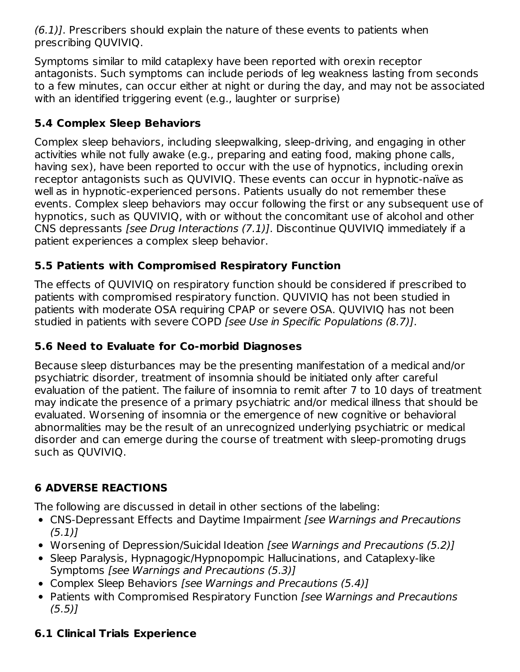(6.1)]. Prescribers should explain the nature of these events to patients when prescribing QUVIVIQ.

Symptoms similar to mild cataplexy have been reported with orexin receptor antagonists. Such symptoms can include periods of leg weakness lasting from seconds to a few minutes, can occur either at night or during the day, and may not be associated with an identified triggering event (e.g., laughter or surprise)

# **5.4 Complex Sleep Behaviors**

Complex sleep behaviors, including sleepwalking, sleep-driving, and engaging in other activities while not fully awake (e.g., preparing and eating food, making phone calls, having sex), have been reported to occur with the use of hypnotics, including orexin receptor antagonists such as QUVIVIQ. These events can occur in hypnotic-naïve as well as in hypnotic-experienced persons. Patients usually do not remember these events. Complex sleep behaviors may occur following the first or any subsequent use of hypnotics, such as QUVIVIQ, with or without the concomitant use of alcohol and other CNS depressants [see Drug Interactions (7.1)]. Discontinue QUVIVIQ immediately if a patient experiences a complex sleep behavior.

# **5.5 Patients with Compromised Respiratory Function**

The effects of QUVIVIQ on respiratory function should be considered if prescribed to patients with compromised respiratory function. QUVIVIQ has not been studied in patients with moderate OSA requiring CPAP or severe OSA. QUVIVIQ has not been studied in patients with severe COPD [see Use in Specific Populations (8.7)].

# **5.6 Need to Evaluate for Co-morbid Diagnoses**

Because sleep disturbances may be the presenting manifestation of a medical and/or psychiatric disorder, treatment of insomnia should be initiated only after careful evaluation of the patient. The failure of insomnia to remit after 7 to 10 days of treatment may indicate the presence of a primary psychiatric and/or medical illness that should be evaluated. Worsening of insomnia or the emergence of new cognitive or behavioral abnormalities may be the result of an unrecognized underlying psychiatric or medical disorder and can emerge during the course of treatment with sleep-promoting drugs such as QUVIVIQ.

# **6 ADVERSE REACTIONS**

The following are discussed in detail in other sections of the labeling:

- CNS-Depressant Effects and Daytime Impairment [see Warnings and Precautions  $(5.1)$ ]
- Worsening of Depression/Suicidal Ideation [see Warnings and Precautions (5.2)]
- Sleep Paralysis, Hypnagogic/Hypnopompic Hallucinations, and Cataplexy-like Symptoms [see Warnings and Precautions (5.3)]
- Complex Sleep Behaviors [see Warnings and Precautions (5.4)]
- Patients with Compromised Respiratory Function [see Warnings and Precautions  $(5.5)$ ]

# **6.1 Clinical Trials Experience**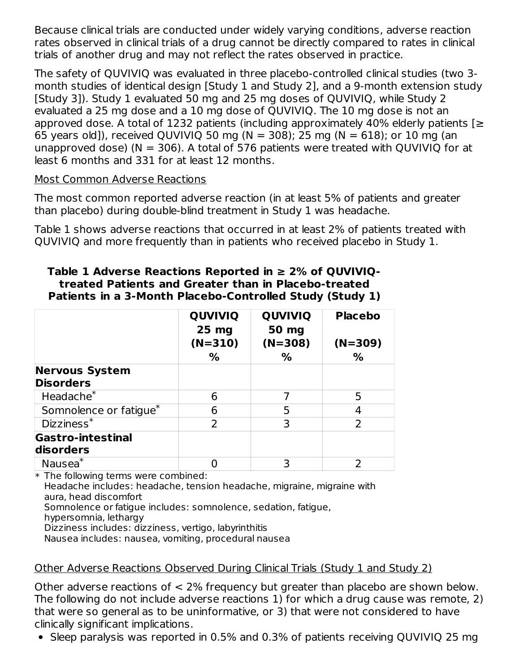Because clinical trials are conducted under widely varying conditions, adverse reaction rates observed in clinical trials of a drug cannot be directly compared to rates in clinical trials of another drug and may not reflect the rates observed in practice.

The safety of QUVIVIQ was evaluated in three placebo-controlled clinical studies (two 3 month studies of identical design [Study 1 and Study 2], and a 9-month extension study [Study 3]). Study 1 evaluated 50 mg and 25 mg doses of QUVIVIQ, while Study 2 evaluated a 25 mg dose and a 10 mg dose of QUVIVIQ. The 10 mg dose is not an approved dose. A total of 1232 patients (including approximately 40% elderly patients  $[z]$ 65 years old]), received QUVIVIQ 50 mg (N = 308); 25 mg (N = 618); or 10 mg (an unapproved dose) ( $N = 306$ ). A total of 576 patients were treated with QUVIVIQ for at least 6 months and 331 for at least 12 months.

#### Most Common Adverse Reactions

The most common reported adverse reaction (in at least 5% of patients and greater than placebo) during double-blind treatment in Study 1 was headache.

Table 1 shows adverse reactions that occurred in at least 2% of patients treated with QUVIVIQ and more frequently than in patients who received placebo in Study 1.

|                                           | <b>QUVIVIQ</b><br>$25 \text{ mg}$ | <b>QUVIVIQ</b><br>50 mg | <b>Placebo</b> |
|-------------------------------------------|-----------------------------------|-------------------------|----------------|
|                                           | $(N=310)$                         | $(N=308)$               | $(N=309)$      |
|                                           | %                                 | %                       | %              |
| <b>Nervous System</b><br><b>Disorders</b> |                                   |                         |                |
| Headache <sup>*</sup>                     | 6                                 |                         | 5              |
| Somnolence or fatigue*                    | 6                                 | 5                       | 4              |
| $Dizziness*$                              | フ                                 | 3                       |                |
| <b>Gastro-intestinal</b><br>disorders     |                                   |                         |                |

# **Table 1 Adverse Reactions Reported in ≥ 2% of QUVIVIQtreated Patients and Greater than in Placebo-treated**

\* The following terms were combined:

Headache includes: headache, tension headache, migraine, migraine with aura, head discomfort

Nausea 0 3 2 \*

Somnolence or fatigue includes: somnolence, sedation, fatigue,

hypersomnia, lethargy

Dizziness includes: dizziness, vertigo, labyrinthitis

Nausea includes: nausea, vomiting, procedural nausea

# Other Adverse Reactions Observed During Clinical Trials (Study 1 and Study 2)

Other adverse reactions of < 2% frequency but greater than placebo are shown below. The following do not include adverse reactions 1) for which a drug cause was remote, 2) that were so general as to be uninformative, or 3) that were not considered to have clinically significant implications.

Sleep paralysis was reported in 0.5% and 0.3% of patients receiving QUVIVIQ 25 mg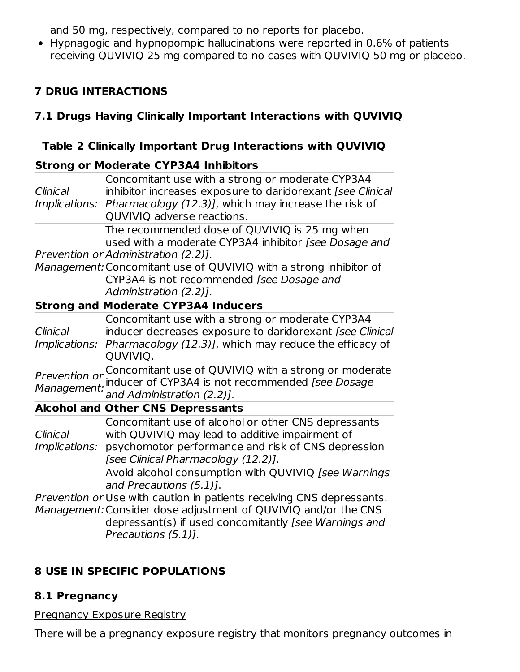and 50 mg, respectively, compared to no reports for placebo.

Hypnagogic and hypnopompic hallucinations were reported in 0.6% of patients receiving QUVIVIQ 25 mg compared to no cases with QUVIVIQ 50 mg or placebo.

# **7 DRUG INTERACTIONS**

# **7.1 Drugs Having Clinically Important Interactions with QUVIVIQ**

|  |  | Table 2 Clinically Important Drug Interactions with QUVIVIQ |
|--|--|-------------------------------------------------------------|
|  |  |                                                             |

|                                         | <b>Strong or Moderate CYP3A4 Inhibitors</b>                                                                                                                                                                                                                                                                |
|-----------------------------------------|------------------------------------------------------------------------------------------------------------------------------------------------------------------------------------------------------------------------------------------------------------------------------------------------------------|
| Clinical<br>Implications:               | Concomitant use with a strong or moderate CYP3A4<br>inhibitor increases exposure to daridorexant [see Clinical]<br>Pharmacology (12.3)], which may increase the risk of<br>QUVIVIQ adverse reactions.                                                                                                      |
|                                         | The recommended dose of QUVIVIQ is 25 mg when<br>used with a moderate CYP3A4 inhibitor [see Dosage and<br>Prevention or Administration (2.2).<br>Management: Concomitant use of QUVIVIQ with a strong inhibitor of<br>CYP3A4 is not recommended [see Dosage and<br>Administration (2.2)].                  |
|                                         | <b>Strong and Moderate CYP3A4 Inducers</b>                                                                                                                                                                                                                                                                 |
| Clinical<br><i><b>Implications:</b></i> | Concomitant use with a strong or moderate CYP3A4<br>inducer decreases exposure to daridorexant [see Clinical<br>Pharmacology (12.3)], which may reduce the efficacy of<br>QUVIVIQ.                                                                                                                         |
| Prevention or<br>Management:            | Concomitant use of QUVIVIQ with a strong or moderate<br>inducer of CYP3A4 is not recommended [see Dosage<br>and Administration (2.2)].                                                                                                                                                                     |
|                                         | <b>Alcohol and Other CNS Depressants</b>                                                                                                                                                                                                                                                                   |
| Clinical<br><i><b>Implications:</b></i> | Concomitant use of alcohol or other CNS depressants<br>with QUVIVIQ may lead to additive impairment of<br>psychomotor performance and risk of CNS depression<br>[see Clinical Pharmacology (12.2)].                                                                                                        |
|                                         | Avoid alcohol consumption with QUVIVIQ [see Warnings<br>and Precautions (5.1)].<br>Prevention or Use with caution in patients receiving CNS depressants.<br>Management: Consider dose adjustment of QUVIVIQ and/or the CNS<br>depressant(s) if used concomitantly [see Warnings and<br>Precautions (5.1)]. |

# **8 USE IN SPECIFIC POPULATIONS**

# **8.1 Pregnancy**

Pregnancy Exposure Registry

There will be a pregnancy exposure registry that monitors pregnancy outcomes in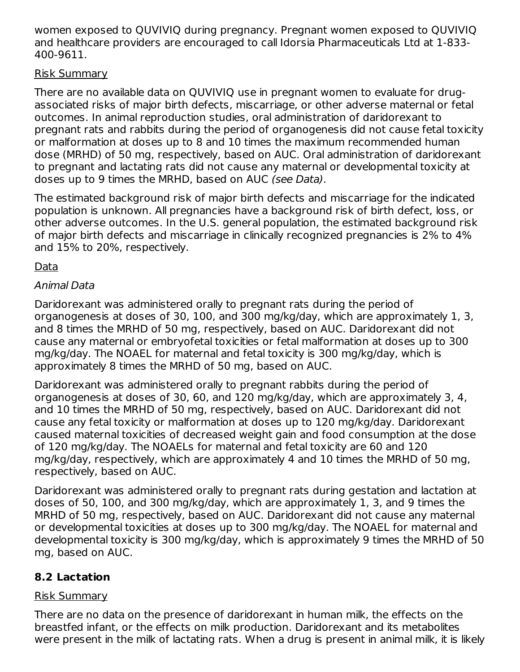women exposed to QUVIVIQ during pregnancy. Pregnant women exposed to QUVIVIQ and healthcare providers are encouraged to call Idorsia Pharmaceuticals Ltd at 1-833- 400-9611.

### Risk Summary

There are no available data on QUVIVIQ use in pregnant women to evaluate for drugassociated risks of major birth defects, miscarriage, or other adverse maternal or fetal outcomes. In animal reproduction studies, oral administration of daridorexant to pregnant rats and rabbits during the period of organogenesis did not cause fetal toxicity or malformation at doses up to 8 and 10 times the maximum recommended human dose (MRHD) of 50 mg, respectively, based on AUC. Oral administration of daridorexant to pregnant and lactating rats did not cause any maternal or developmental toxicity at doses up to 9 times the MRHD, based on AUC (see Data).

The estimated background risk of major birth defects and miscarriage for the indicated population is unknown. All pregnancies have a background risk of birth defect, loss, or other adverse outcomes. In the U.S. general population, the estimated background risk of major birth defects and miscarriage in clinically recognized pregnancies is 2% to 4% and 15% to 20%, respectively.

Data

### Animal Data

Daridorexant was administered orally to pregnant rats during the period of organogenesis at doses of 30, 100, and 300 mg/kg/day, which are approximately 1, 3, and 8 times the MRHD of 50 mg, respectively, based on AUC. Daridorexant did not cause any maternal or embryofetal toxicities or fetal malformation at doses up to 300 mg/kg/day. The NOAEL for maternal and fetal toxicity is 300 mg/kg/day, which is approximately 8 times the MRHD of 50 mg, based on AUC.

Daridorexant was administered orally to pregnant rabbits during the period of organogenesis at doses of 30, 60, and 120 mg/kg/day, which are approximately 3, 4, and 10 times the MRHD of 50 mg, respectively, based on AUC. Daridorexant did not cause any fetal toxicity or malformation at doses up to 120 mg/kg/day. Daridorexant caused maternal toxicities of decreased weight gain and food consumption at the dose of 120 mg/kg/day. The NOAELs for maternal and fetal toxicity are 60 and 120 mg/kg/day, respectively, which are approximately 4 and 10 times the MRHD of 50 mg, respectively, based on AUC.

Daridorexant was administered orally to pregnant rats during gestation and lactation at doses of 50, 100, and 300 mg/kg/day, which are approximately 1, 3, and 9 times the MRHD of 50 mg, respectively, based on AUC. Daridorexant did not cause any maternal or developmental toxicities at doses up to 300 mg/kg/day. The NOAEL for maternal and developmental toxicity is 300 mg/kg/day, which is approximately 9 times the MRHD of 50 mg, based on AUC.

# **8.2 Lactation**

#### Risk Summary

There are no data on the presence of daridorexant in human milk, the effects on the breastfed infant, or the effects on milk production. Daridorexant and its metabolites were present in the milk of lactating rats. When a drug is present in animal milk, it is likely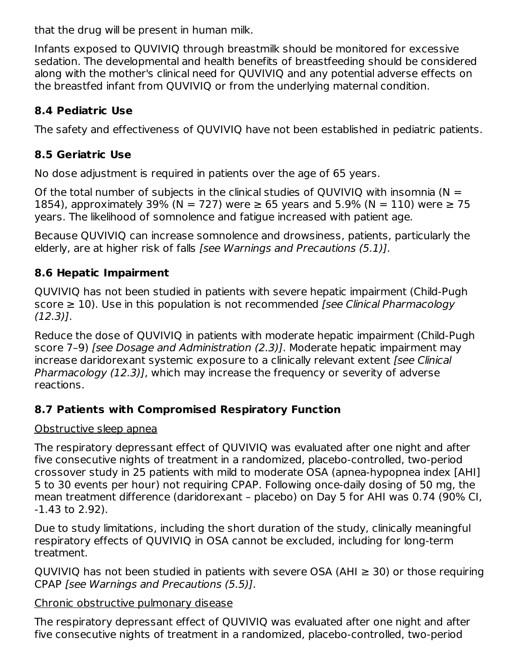that the drug will be present in human milk.

Infants exposed to QUVIVIQ through breastmilk should be monitored for excessive sedation. The developmental and health benefits of breastfeeding should be considered along with the mother's clinical need for QUVIVIQ and any potential adverse effects on the breastfed infant from QUVIVIQ or from the underlying maternal condition.

# **8.4 Pediatric Use**

The safety and effectiveness of QUVIVIQ have not been established in pediatric patients.

# **8.5 Geriatric Use**

No dose adjustment is required in patients over the age of 65 years.

Of the total number of subjects in the clinical studies of OUVIVIO with insomnia ( $N =$ 1854), approximately 39% (N = 727) were ≥ 65 years and 5.9% (N = 110) were ≥ 75 years. The likelihood of somnolence and fatigue increased with patient age.

Because QUVIVIQ can increase somnolence and drowsiness, patients, particularly the elderly, are at higher risk of falls *[see Warnings and Precautions (5.1)]*.

# **8.6 Hepatic Impairment**

QUVIVIQ has not been studied in patients with severe hepatic impairment (Child-Pugh score  $\geq 10$ ). Use in this population is not recommended *[see Clinical Pharmacology* (12.3)].

Reduce the dose of QUVIVIQ in patients with moderate hepatic impairment (Child-Pugh score 7–9) [see Dosage and Administration (2.3)]. Moderate hepatic impairment may increase daridorexant systemic exposure to a clinically relevant extent *[see Clinical*] Pharmacology (12.3)], which may increase the frequency or severity of adverse reactions.

# **8.7 Patients with Compromised Respiratory Function**

# Obstructive sleep apnea

The respiratory depressant effect of QUVIVIQ was evaluated after one night and after five consecutive nights of treatment in a randomized, placebo-controlled, two-period crossover study in 25 patients with mild to moderate OSA (apnea-hypopnea index [AHI] 5 to 30 events per hour) not requiring CPAP. Following once-daily dosing of 50 mg, the mean treatment difference (daridorexant – placebo) on Day 5 for AHI was 0.74 (90% CI, -1.43 to 2.92).

Due to study limitations, including the short duration of the study, clinically meaningful respiratory effects of QUVIVIQ in OSA cannot be excluded, including for long-term treatment.

QUVIVIQ has not been studied in patients with severe OSA (AHI  $\geq$  30) or those requiring CPAP [see Warnings and Precautions (5.5)].

# Chronic obstructive pulmonary disease

The respiratory depressant effect of QUVIVIQ was evaluated after one night and after five consecutive nights of treatment in a randomized, placebo-controlled, two-period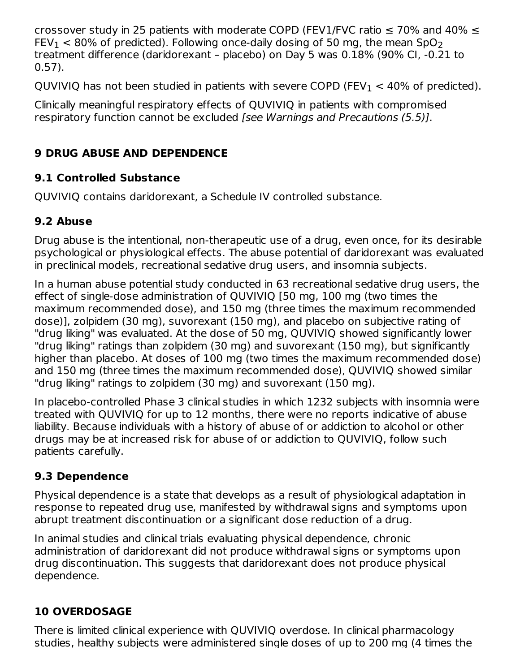crossover study in 25 patients with moderate COPD (FEV1/FVC ratio  $\leq$  70% and 40%  $\leq$ FEV $_{\rm 1}$   $<$  80% of predicted). Following once-daily dosing of 50 mg, the mean SpO $_{\rm 2}$ treatment difference (daridorexant – placebo) on Day 5 was 0.18% (90% CI, -0.21 to 0.57).

QUVIVIQ has not been studied in patients with severe COPD (FEV $_{\rm 1}$  < 40% of predicted).

Clinically meaningful respiratory effects of QUVIVIQ in patients with compromised respiratory function cannot be excluded [see Warnings and Precautions (5.5)].

# **9 DRUG ABUSE AND DEPENDENCE**

# **9.1 Controlled Substance**

QUVIVIQ contains daridorexant, a Schedule IV controlled substance.

# **9.2 Abuse**

Drug abuse is the intentional, non-therapeutic use of a drug, even once, for its desirable psychological or physiological effects. The abuse potential of daridorexant was evaluated in preclinical models, recreational sedative drug users, and insomnia subjects.

In a human abuse potential study conducted in 63 recreational sedative drug users, the effect of single-dose administration of QUVIVIQ [50 mg, 100 mg (two times the maximum recommended dose), and 150 mg (three times the maximum recommended dose)], zolpidem (30 mg), suvorexant (150 mg), and placebo on subjective rating of "drug liking" was evaluated. At the dose of 50 mg, QUVIVIQ showed significantly lower "drug liking" ratings than zolpidem (30 mg) and suvorexant (150 mg), but significantly higher than placebo. At doses of 100 mg (two times the maximum recommended dose) and 150 mg (three times the maximum recommended dose), QUVIVIQ showed similar "drug liking" ratings to zolpidem (30 mg) and suvorexant (150 mg).

In placebo-controlled Phase 3 clinical studies in which 1232 subjects with insomnia were treated with QUVIVIQ for up to 12 months, there were no reports indicative of abuse liability. Because individuals with a history of abuse of or addiction to alcohol or other drugs may be at increased risk for abuse of or addiction to QUVIVIQ, follow such patients carefully.

# **9.3 Dependence**

Physical dependence is a state that develops as a result of physiological adaptation in response to repeated drug use, manifested by withdrawal signs and symptoms upon abrupt treatment discontinuation or a significant dose reduction of a drug.

In animal studies and clinical trials evaluating physical dependence, chronic administration of daridorexant did not produce withdrawal signs or symptoms upon drug discontinuation. This suggests that daridorexant does not produce physical dependence.

# **10 OVERDOSAGE**

There is limited clinical experience with QUVIVIQ overdose. In clinical pharmacology studies, healthy subjects were administered single doses of up to 200 mg (4 times the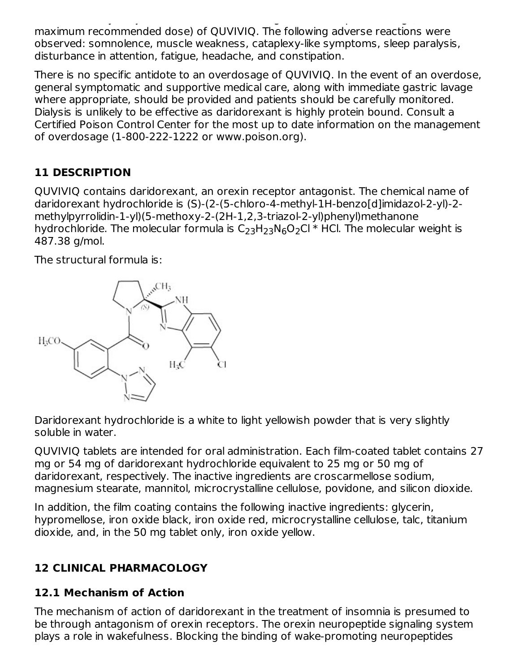studies, healthy subjects were administered single doses of up to 200 mg (4 times the maximum recommended dose) of QUVIVIQ. The following adverse reactions were observed: somnolence, muscle weakness, cataplexy-like symptoms, sleep paralysis, disturbance in attention, fatigue, headache, and constipation.

There is no specific antidote to an overdosage of QUVIVIQ. In the event of an overdose, general symptomatic and supportive medical care, along with immediate gastric lavage where appropriate, should be provided and patients should be carefully monitored. Dialysis is unlikely to be effective as daridorexant is highly protein bound. Consult a Certified Poison Control Center for the most up to date information on the management of overdosage (1-800-222-1222 or www.poison.org).

# **11 DESCRIPTION**

QUVIVIQ contains daridorexant, an orexin receptor antagonist. The chemical name of daridorexant hydrochloride is (S)-(2-(5-chloro-4-methyl-1H-benzo[d]imidazol-2-yl)-2 methylpyrrolidin-1-yl)(5-methoxy-2-(2H-1,2,3-triazol-2-yl)phenyl)methanone hydrochloride. The molecular formula is  $\mathsf{C}_2$ 3H $_{2}$ 3N $_6$ O $_2$ Cl  $^*$  HCl. The molecular weight is 487.38 g/mol.

The structural formula is:



Daridorexant hydrochloride is a white to light yellowish powder that is very slightly soluble in water.

QUVIVIQ tablets are intended for oral administration. Each film-coated tablet contains 27 mg or 54 mg of daridorexant hydrochloride equivalent to 25 mg or 50 mg of daridorexant, respectively. The inactive ingredients are croscarmellose sodium, magnesium stearate, mannitol, microcrystalline cellulose, povidone, and silicon dioxide.

In addition, the film coating contains the following inactive ingredients: glycerin, hypromellose, iron oxide black, iron oxide red, microcrystalline cellulose, talc, titanium dioxide, and, in the 50 mg tablet only, iron oxide yellow.

# **12 CLINICAL PHARMACOLOGY**

# **12.1 Mechanism of Action**

The mechanism of action of daridorexant in the treatment of insomnia is presumed to be through antagonism of orexin receptors. The orexin neuropeptide signaling system plays a role in wakefulness. Blocking the binding of wake-promoting neuropeptides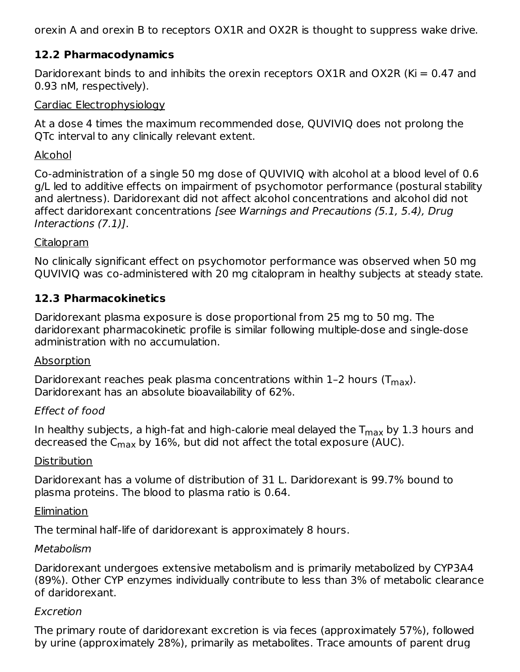orexin A and orexin B to receptors OX1R and OX2R is thought to suppress wake drive.

# **12.2 Pharmacodynamics**

Daridorexant binds to and inhibits the orexin receptors OX1R and OX2R (Ki =  $0.47$  and 0.93 nM, respectively).

#### Cardiac Electrophysiology

At a dose 4 times the maximum recommended dose, QUVIVIQ does not prolong the QTc interval to any clinically relevant extent.

#### Alcohol

Co-administration of a single 50 mg dose of QUVIVIQ with alcohol at a blood level of 0.6 g/L led to additive effects on impairment of psychomotor performance (postural stability and alertness). Daridorexant did not affect alcohol concentrations and alcohol did not affect daridorexant concentrations [see Warnings and Precautions (5.1, 5.4), Drug Interactions (7.1)].

#### **Citalopram**

No clinically significant effect on psychomotor performance was observed when 50 mg QUVIVIQ was co-administered with 20 mg citalopram in healthy subjects at steady state.

#### **12.3 Pharmacokinetics**

Daridorexant plasma exposure is dose proportional from 25 mg to 50 mg. The daridorexant pharmacokinetic profile is similar following multiple-dose and single-dose administration with no accumulation.

#### Absorption

Daridorexant reaches peak plasma concentrations within 1-2 hours (T $_{\sf max}$ ). Daridorexant has an absolute bioavailability of 62%.

# Effect of food

In healthy subjects, a high-fat and high-calorie meal delayed the  $\mathsf{T}_{\mathsf{max}}$  by 1.3 hours and decreased the C $_{\sf max}$  by 16%, but did not affect the total exposure (AUC).

#### **Distribution**

Daridorexant has a volume of distribution of 31 L. Daridorexant is 99.7% bound to plasma proteins. The blood to plasma ratio is 0.64.

#### **Elimination**

The terminal half-life of daridorexant is approximately 8 hours.

#### Metabolism

Daridorexant undergoes extensive metabolism and is primarily metabolized by CYP3A4 (89%). Other CYP enzymes individually contribute to less than 3% of metabolic clearance of daridorexant.

#### Excretion

The primary route of daridorexant excretion is via feces (approximately 57%), followed by urine (approximately 28%), primarily as metabolites. Trace amounts of parent drug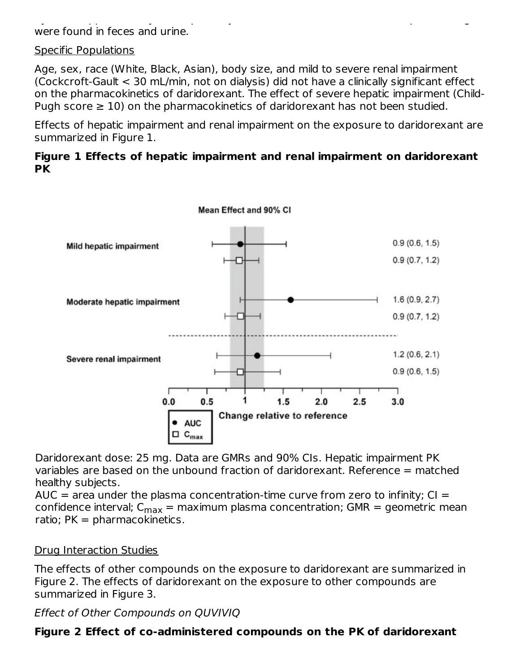by urine (approximately 28%), primarily as metabolites. Trace amounts of parent drug amounts of parent drug  $\omega$ were found in feces and urine.

#### Specific Populations

Age, sex, race (White, Black, Asian), body size, and mild to severe renal impairment (Cockcroft-Gault < 30 mL/min, not on dialysis) did not have a clinically significant effect on the pharmacokinetics of daridorexant. The effect of severe hepatic impairment (Child-Pugh score  $\geq 10$ ) on the pharmacokinetics of daridorexant has not been studied.

Effects of hepatic impairment and renal impairment on the exposure to daridorexant are summarized in Figure 1.

#### **Figure 1 Effects of hepatic impairment and renal impairment on daridorexant PK**



Daridorexant dose: 25 mg. Data are GMRs and 90% CIs. Hepatic impairment PK variables are based on the unbound fraction of daridorexant. Reference = matched healthy subjects.

AUC  $=$  area under the plasma concentration-time curve from zero to infinity; CI  $=$ confidence interval; C<sub>max</sub> = maximum plasma concentration; GMR = geometric mean ratio;  $PK = pharmacokinetics.$ 

#### Drug Interaction Studies

The effects of other compounds on the exposure to daridorexant are summarized in Figure 2. The effects of daridorexant on the exposure to other compounds are summarized in Figure 3.

# Effect of Other Compounds on QUVIVIQ

# **Figure 2 Effect of co-administered compounds on the PK of daridorexant**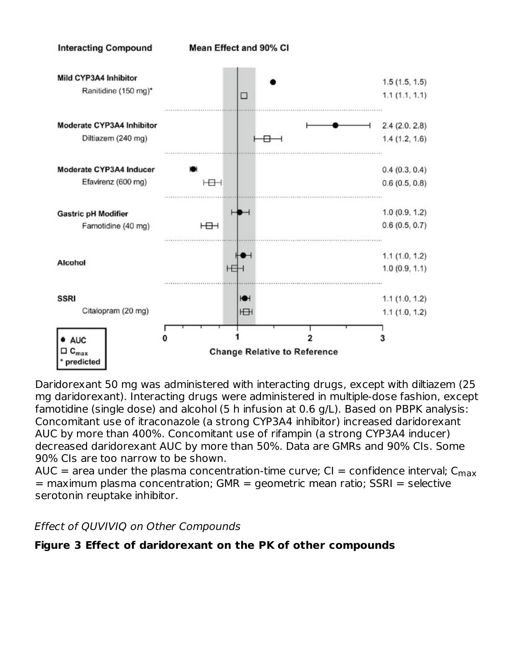

Daridorexant 50 mg was administered with interacting drugs, except with diltiazem (25 mg daridorexant). Interacting drugs were administered in multiple-dose fashion, except famotidine (single dose) and alcohol (5 h infusion at 0.6 g/L). Based on PBPK analysis: Concomitant use of itraconazole (a strong CYP3A4 inhibitor) increased daridorexant AUC by more than 400%. Concomitant use of rifampin (a strong CYP3A4 inducer) decreased daridorexant AUC by more than 50%. Data are GMRs and 90% CIs. Some 90% CIs are too narrow to be shown.

AUC = area under the plasma concentration-time curve; CI = confidence interval;  $\mathsf{C}_{\mathsf{max}}$  $=$  maximum plasma concentration; GMR = geometric mean ratio; SSRI = selective serotonin reuptake inhibitor.

Effect of QUVIVIQ on Other Compounds

# **Figure 3 Effect of daridorexant on the PK of other compounds**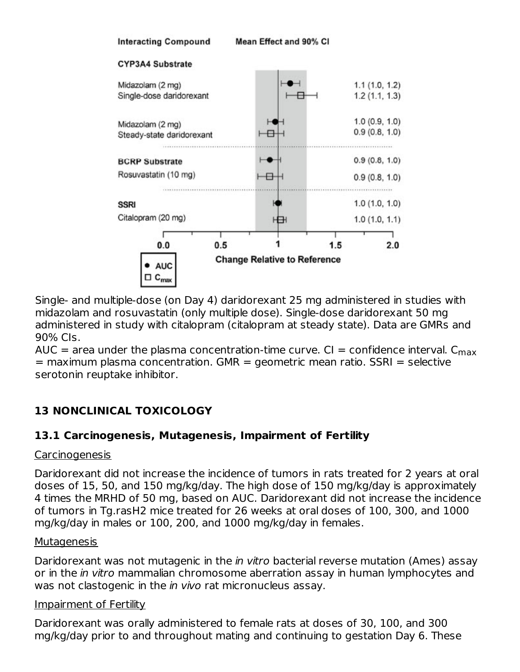

Single- and multiple-dose (on Day 4) daridorexant 25 mg administered in studies with midazolam and rosuvastatin (only multiple dose). Single-dose daridorexant 50 mg administered in study with citalopram (citalopram at steady state). Data are GMRs and 90% CIs.

AUC = area under the plasma concentration-time curve. CI = confidence interval.  $\mathsf{C}_{\mathsf{max}}$  $=$  maximum plasma concentration. GMR  $=$  geometric mean ratio. SSRI  $=$  selective serotonin reuptake inhibitor.

# **13 NONCLINICAL TOXICOLOGY**

# **13.1 Carcinogenesis, Mutagenesis, Impairment of Fertility**

#### Carcinogenesis

Daridorexant did not increase the incidence of tumors in rats treated for 2 years at oral doses of 15, 50, and 150 mg/kg/day. The high dose of 150 mg/kg/day is approximately 4 times the MRHD of 50 mg, based on AUC. Daridorexant did not increase the incidence of tumors in Tg.rasH2 mice treated for 26 weeks at oral doses of 100, 300, and 1000 mg/kg/day in males or 100, 200, and 1000 mg/kg/day in females.

#### **Mutagenesis**

Daridorexant was not mutagenic in the *in vitro* bacterial reverse mutation (Ames) assay or in the *in vitro* mammalian chromosome aberration assay in human lymphocytes and was not clastogenic in the *in vivo* rat micronucleus assay.

# Impairment of Fertility

Daridorexant was orally administered to female rats at doses of 30, 100, and 300 mg/kg/day prior to and throughout mating and continuing to gestation Day 6. These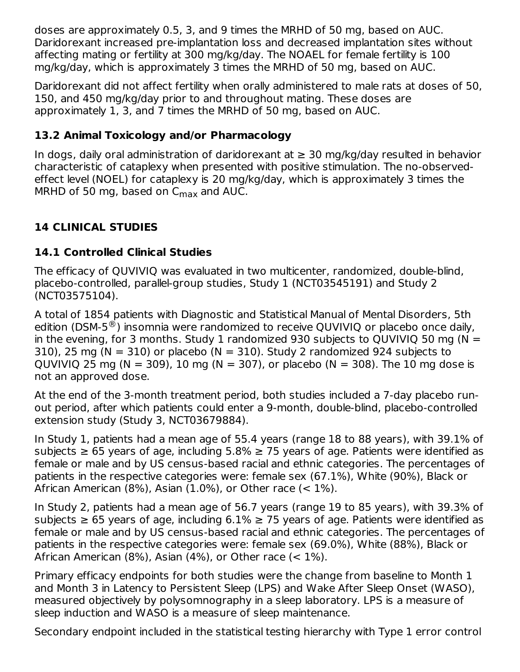doses are approximately 0.5, 3, and 9 times the MRHD of 50 mg, based on AUC. Daridorexant increased pre-implantation loss and decreased implantation sites without affecting mating or fertility at 300 mg/kg/day. The NOAEL for female fertility is 100 mg/kg/day, which is approximately 3 times the MRHD of 50 mg, based on AUC.

Daridorexant did not affect fertility when orally administered to male rats at doses of 50, 150, and 450 mg/kg/day prior to and throughout mating. These doses are approximately 1, 3, and 7 times the MRHD of 50 mg, based on AUC.

# **13.2 Animal Toxicology and/or Pharmacology**

In dogs, daily oral administration of daridorexant at  $\geq$  30 mg/kg/day resulted in behavior characteristic of cataplexy when presented with positive stimulation. The no-observedeffect level (NOEL) for cataplexy is 20 mg/kg/day, which is approximately 3 times the MRHD of 50 mg, based on  $C_{\sf max}$  and AUC.

# **14 CLINICAL STUDIES**

# **14.1 Controlled Clinical Studies**

The efficacy of QUVIVIQ was evaluated in two multicenter, randomized, double-blind, placebo-controlled, parallel-group studies, Study 1 (NCT03545191) and Study 2 (NCT03575104).

A total of 1854 patients with Diagnostic and Statistical Manual of Mental Disorders, 5th edition (DSM-5 $^{\circledR}$ ) insomnia were randomized to receive QUVIVIQ or placebo once daily, in the evening, for 3 months. Study 1 randomized 930 subjects to QUVIVIQ 50 mg ( $N =$ 310), 25 mg ( $N = 310$ ) or placebo ( $N = 310$ ). Study 2 randomized 924 subjects to QUVIVIQ 25 mg (N = 309), 10 mg (N = 307), or placebo (N = 308). The 10 mg dose is not an approved dose.

At the end of the 3-month treatment period, both studies included a 7-day placebo runout period, after which patients could enter a 9-month, double-blind, placebo-controlled extension study (Study 3, NCT03679884).

In Study 1, patients had a mean age of 55.4 years (range 18 to 88 years), with 39.1% of subjects  $\geq 65$  years of age, including 5.8%  $\geq 75$  years of age. Patients were identified as female or male and by US census-based racial and ethnic categories. The percentages of patients in the respective categories were: female sex (67.1%), White (90%), Black or African American (8%), Asian (1.0%), or Other race (< 1%).

In Study 2, patients had a mean age of 56.7 years (range 19 to 85 years), with 39.3% of subjects  $\geq 65$  years of age, including 6.1%  $\geq 75$  years of age. Patients were identified as female or male and by US census-based racial and ethnic categories. The percentages of patients in the respective categories were: female sex (69.0%), White (88%), Black or African American (8%), Asian (4%), or Other race (< 1%).

Primary efficacy endpoints for both studies were the change from baseline to Month 1 and Month 3 in Latency to Persistent Sleep (LPS) and Wake After Sleep Onset (WASO), measured objectively by polysomnography in a sleep laboratory. LPS is a measure of sleep induction and WASO is a measure of sleep maintenance.

Secondary endpoint included in the statistical testing hierarchy with Type 1 error control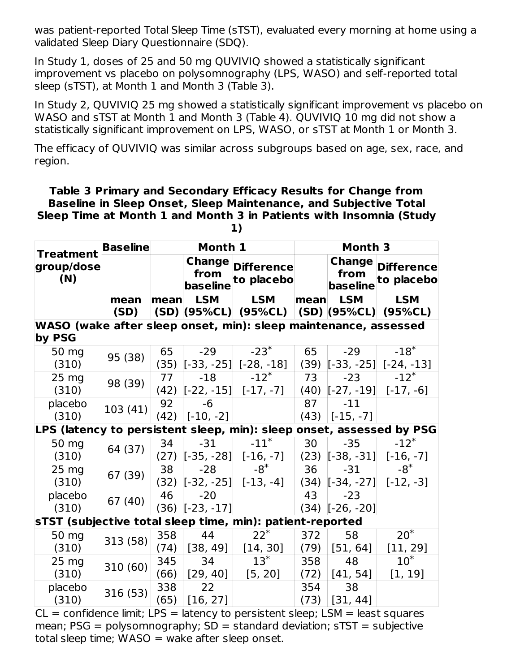was patient-reported Total Sleep Time (sTST), evaluated every morning at home using a validated Sleep Diary Questionnaire (SDQ).

In Study 1, doses of 25 and 50 mg QUVIVIQ showed a statistically significant improvement vs placebo on polysomnography (LPS, WASO) and self-reported total sleep (sTST), at Month 1 and Month 3 (Table 3).

In Study 2, QUVIVIQ 25 mg showed a statistically significant improvement vs placebo on WASO and sTST at Month 1 and Month 3 (Table 4). QUVIVIQ 10 mg did not show a statistically significant improvement on LPS, WASO, or sTST at Month 1 or Month 3.

The efficacy of QUVIVIQ was similar across subgroups based on age, sex, race, and region.

#### **Table 3 Primary and Secondary Efficacy Results for Change from Baseline in Sleep Onset, Sleep Maintenance, and Subjective Total Sleep Time at Month 1 and Month 3 in Patients with Insomnia (Study 1)**

| <b>Treatment</b>                                                          | <b>Baseline</b> |      | Month 1                    |                                 | Month 3 |                  |                                        |
|---------------------------------------------------------------------------|-----------------|------|----------------------------|---------------------------------|---------|------------------|----------------------------------------|
| group/dose<br>(N)                                                         |                 |      | Change<br>from<br>baseline | <b>Difference</b><br>to placebo |         | from<br>baseline | <b>Change Difference</b><br>to placebo |
|                                                                           | mean            | mean | <b>LSM</b>                 | <b>LSM</b>                      | mean    | <b>LSM</b>       | <b>LSM</b>                             |
|                                                                           | (SD)            |      |                            | (SD) (95%CL) (95%CL)            |         |                  | $(SD)$ (95%CL) (95%CL)                 |
| WASO (wake after sleep onset, min): sleep maintenance, assessed<br>by PSG |                 |      |                            |                                 |         |                  |                                        |
| 50 mg                                                                     |                 | 65   | $-29$                      | $-23*$                          | 65      | $-29$            | $-18$ <sup>*</sup>                     |
| (310)                                                                     | 95 (38)         | (35) |                            | $[-33, -25]$ [-28, -18]         | (39)    |                  | $[-33, -25]$ [-24, -13]                |
| $25 \text{ mg}$                                                           | 98 (39)         | 77   | $-18$                      | $-12^{*}$                       | 73      | $-23$            | $-12$ <sup>*</sup>                     |
| (310)                                                                     |                 | (42) | $[-22, -15]$               | $[-17, -7]$                     |         |                  | $(40)$ $[-27, -19]$ $[-17, -6]$        |
| placebo                                                                   | 103(41)         | 92   | $-6$                       |                                 | 87      | $-11$            |                                        |
| (310)                                                                     |                 | (42) | $[-10, -2]$                |                                 | (43)    | $[-15, -7]$      |                                        |
| LPS (latency to persistent sleep, min): sleep onset, assessed by PSG      |                 |      |                            |                                 |         |                  |                                        |
| 50 mg                                                                     | 64 (37)         | 34   | $-31$                      | $-11$ <sup>*</sup>              | 30      | $-35$            | $-12$ <sup>*</sup>                     |
| (310)                                                                     |                 | (27) | $[-35, -28]$               | $[-16, -7]$                     | (23)    | $[-38, -31]$     | $[-16, -7]$                            |
| 25 mg                                                                     | 67 (39)         | 38   | $-28$                      | $-8*$                           | 36      | $-31$            | $-8^*$                                 |
| (310)                                                                     |                 | (32) | $[-32, -25]$               | $[-13, -4]$                     |         |                  | $(34)$ $[-34, -27]$ $[-12, -3]$        |
| placebo                                                                   | 67 (40)         | 46   | $-20$                      |                                 | 43      | $-23$            |                                        |
| (310)                                                                     |                 | (36) | $[-23, -17]$               |                                 | (34)    | $[-26, -20]$     |                                        |
| sTST (subjective total sleep time, min): patient-reported                 |                 |      |                            |                                 |         |                  |                                        |
| 50 mg                                                                     | 313 (58)        | 358  | 44                         | $22*$                           | 372     | 58               | $20*$                                  |
| (310)                                                                     |                 | (74) | [38, 49]                   | [14, 30]                        | (79)    | [51, 64]         | [11, 29]                               |
| $25 \text{ mg}$                                                           | 310 (60)        | 345  | 34                         | $13^*$                          | 358     | 48               | $10^*$                                 |
| (310)                                                                     |                 | (66) | [29, 40]                   | [5, 20]                         | (72)    | [41, 54]         | [1, 19]                                |
| placebo                                                                   | 316 (53)        | 338  | 22                         |                                 | 354     | 38               |                                        |
| (310)                                                                     |                 | (65) | [16, 27]                   |                                 | (73)    | [31, 44]         |                                        |

 $CL =$  confidence limit; LPS = latency to persistent sleep; LSM = least squares mean;  $PSG = polysomnography$ ;  $SD = standard deviation$ ;  $STST = subjective$ total sleep time;  $WASO =$  wake after sleep onset.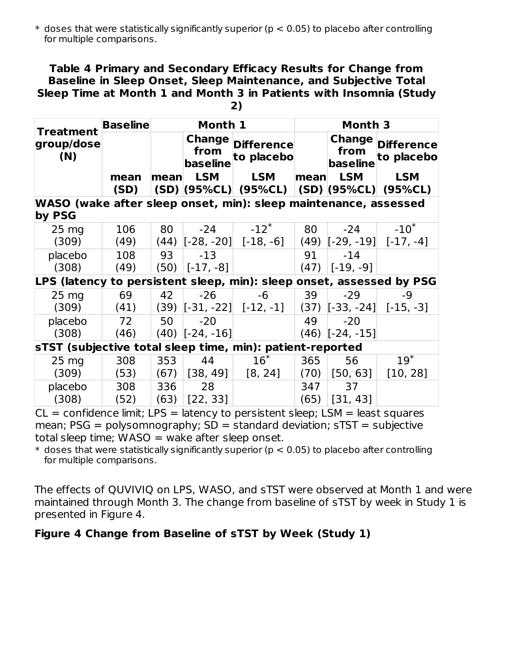$\ast$  doses that were statistically significantly superior (p  $<$  0.05) to placebo after controlling for multiple comparisons.

#### **Table 4 Primary and Secondary Efficacy Results for Change from Baseline in Sleep Onset, Sleep Maintenance, and Subjective Total Sleep Time at Month 1 and Month 3 in Patients with Insomnia (Study**

| ۰.<br>۰. |  |
|----------|--|
| . .      |  |

| <b>Treatment</b>                                                     | <b>Baseline</b> |      | Month 1                                  |                                 | Month 3 |                                   |                                      |
|----------------------------------------------------------------------|-----------------|------|------------------------------------------|---------------------------------|---------|-----------------------------------|--------------------------------------|
| group/dose<br>(N)                                                    |                 |      | <b>Change</b><br>from<br><b>baseline</b> | <b>Difference</b><br>to placebo |         | <b>Change</b><br>from<br>baseline | <b>Difference</b><br>to placebo      |
|                                                                      | mean<br>(SD)    | mean | LSM                                      | LSM<br>(SD) (95%CL) (95%CL)     | mean    | <b>LSM</b>                        | <b>LSM</b><br>$(SD)$ (95%CL) (95%CL) |
| WASO (wake after sleep onset, min): sleep maintenance, assessed      |                 |      |                                          |                                 |         |                                   |                                      |
| by PSG                                                               |                 |      |                                          |                                 |         |                                   |                                      |
| $25 \text{ mg}$                                                      | 106             | 80   | -24                                      | $-12$ <sup>*</sup>              | 80      | $-24$                             | $-10^{*}$                            |
| (309)                                                                | (49)            | (44) |                                          | $[-28, -20]$ $[-18, -6]$        |         |                                   | $(49)$ $[-29, -19]$ $[-17, -4]$      |
| placebo                                                              | 108             | 93   | $-13$                                    |                                 | 91      | $-14$                             |                                      |
| (308)                                                                | (49)            | (50) | $[-17, -8]$                              |                                 | (47)    | $[-19, -9]$                       |                                      |
| LPS (latency to persistent sleep, min): sleep onset, assessed by PSG |                 |      |                                          |                                 |         |                                   |                                      |
| $25 \text{ mg}$                                                      | 69              | 42   | -26                                      | -6                              | 39      | $-29$                             | $-9$                                 |
| (309)                                                                | (41)            |      |                                          | $(39)$ $[-31, -22]$ $[-12, -1]$ |         |                                   | $(37)$ $[-33, -24]$ $[-15, -3]$      |
| placebo                                                              | 72              | 50   | $-20$                                    |                                 | 49      | $-20$                             |                                      |
| (308)                                                                | (46)            |      | $(40)$ [-24, -16]                        |                                 |         | $(46)$ [-24, -15]                 |                                      |
| sTST (subjective total sleep time, min): patient-reported            |                 |      |                                          |                                 |         |                                   |                                      |
| 25 <sub>mg</sub>                                                     | 308             | 353  | 44                                       | $16*$                           | 365     | 56                                | $19^*$                               |
| (309)                                                                | (53)            | (67) | [38, 49]                                 | [8, 24]                         | (70)    | [50, 63]                          | [10, 28]                             |
| placebo                                                              | 308             | 336  | 28                                       |                                 | 347     | 37                                |                                      |
| (308)                                                                | (52)            | (63) | [22, 33]                                 |                                 | (65)    | [31, 43]                          |                                      |

 $CL =$  confidence limit; LPS = latency to persistent sleep; LSM = least squares mean;  $PSG = polysomnography$ ;  $SD = standard deviation$ ;  $STST = subjective$ total sleep time;  $WASO =$  wake after sleep onset.

 $\ast$  doses that were statistically significantly superior (p  $<$  0.05) to placebo after controlling for multiple comparisons.

The effects of QUVIVIQ on LPS, WASO, and sTST were observed at Month 1 and were maintained through Month 3. The change from baseline of sTST by week in Study 1 is presented in Figure 4.

#### **Figure 4 Change from Baseline of sTST by Week (Study 1)**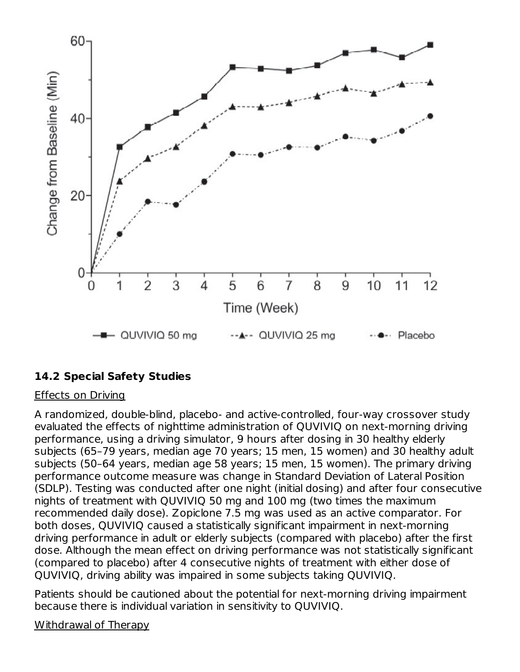

# **14.2 Special Safety Studies**

#### Effects on Driving

A randomized, double-blind, placebo- and active-controlled, four-way crossover study evaluated the effects of nighttime administration of QUVIVIQ on next-morning driving performance, using a driving simulator, 9 hours after dosing in 30 healthy elderly subjects (65–79 years, median age 70 years; 15 men, 15 women) and 30 healthy adult subjects (50–64 years, median age 58 years; 15 men, 15 women). The primary driving performance outcome measure was change in Standard Deviation of Lateral Position (SDLP). Testing was conducted after one night (initial dosing) and after four consecutive nights of treatment with QUVIVIQ 50 mg and 100 mg (two times the maximum recommended daily dose). Zopiclone 7.5 mg was used as an active comparator. For both doses, QUVIVIQ caused a statistically significant impairment in next-morning driving performance in adult or elderly subjects (compared with placebo) after the first dose. Although the mean effect on driving performance was not statistically significant (compared to placebo) after 4 consecutive nights of treatment with either dose of QUVIVIQ, driving ability was impaired in some subjects taking QUVIVIQ.

Patients should be cautioned about the potential for next-morning driving impairment because there is individual variation in sensitivity to QUVIVIQ.

Withdrawal of Therapy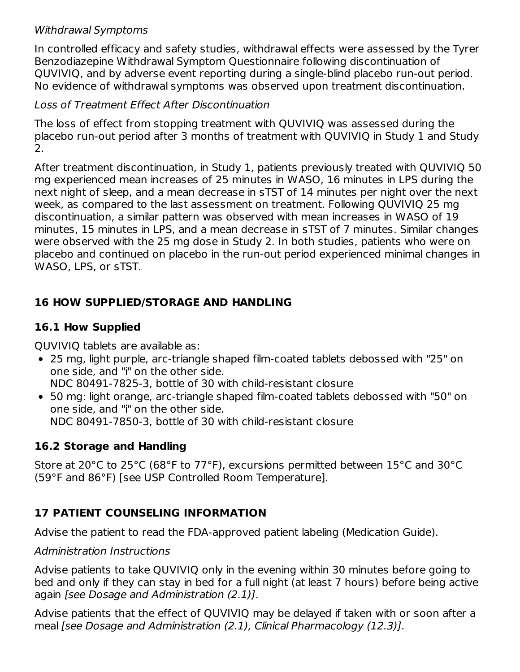### Withdrawal Symptoms

In controlled efficacy and safety studies, withdrawal effects were assessed by the Tyrer Benzodiazepine Withdrawal Symptom Questionnaire following discontinuation of QUVIVIQ, and by adverse event reporting during a single-blind placebo run-out period. No evidence of withdrawal symptoms was observed upon treatment discontinuation.

### Loss of Treatment Effect After Discontinuation

The loss of effect from stopping treatment with QUVIVIQ was assessed during the placebo run-out period after 3 months of treatment with QUVIVIQ in Study 1 and Study 2.

After treatment discontinuation, in Study 1, patients previously treated with QUVIVIQ 50 mg experienced mean increases of 25 minutes in WASO, 16 minutes in LPS during the next night of sleep, and a mean decrease in sTST of 14 minutes per night over the next week, as compared to the last assessment on treatment. Following QUVIVIQ 25 mg discontinuation, a similar pattern was observed with mean increases in WASO of 19 minutes, 15 minutes in LPS, and a mean decrease in sTST of 7 minutes. Similar changes were observed with the 25 mg dose in Study 2. In both studies, patients who were on placebo and continued on placebo in the run-out period experienced minimal changes in WASO, LPS, or sTST.

# **16 HOW SUPPLIED/STORAGE AND HANDLING**

# **16.1 How Supplied**

QUVIVIQ tablets are available as:

- 25 mg, light purple, arc-triangle shaped film-coated tablets debossed with "25" on one side, and "i" on the other side. NDC 80491-7825-3, bottle of 30 with child-resistant closure
- 50 mg: light orange, arc-triangle shaped film-coated tablets debossed with "50" on one side, and "i" on the other side. NDC 80491-7850-3, bottle of 30 with child-resistant closure

# **16.2 Storage and Handling**

Store at 20°C to 25°C (68°F to 77°F), excursions permitted between 15°C and 30°C (59°F and 86°F) [see USP Controlled Room Temperature].

# **17 PATIENT COUNSELING INFORMATION**

Advise the patient to read the FDA-approved patient labeling (Medication Guide).

Administration Instructions

Advise patients to take QUVIVIQ only in the evening within 30 minutes before going to bed and only if they can stay in bed for a full night (at least 7 hours) before being active again [see Dosage and Administration (2.1)].

Advise patients that the effect of QUVIVIQ may be delayed if taken with or soon after a meal [see Dosage and Administration (2.1), Clinical Pharmacology (12.3)].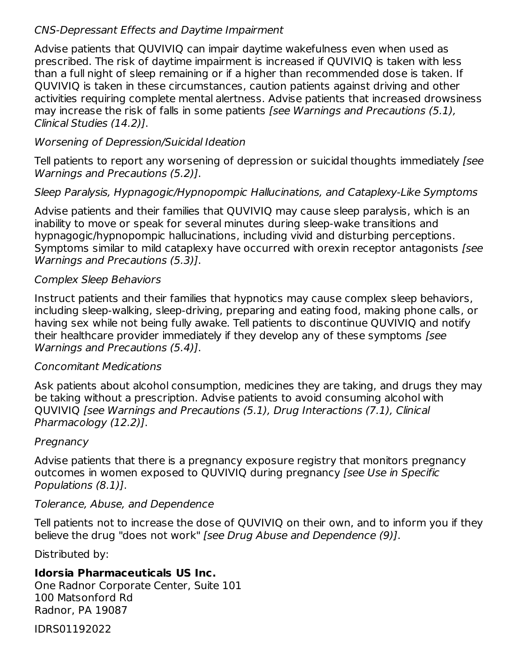### CNS-Depressant Effects and Daytime Impairment

Advise patients that QUVIVIQ can impair daytime wakefulness even when used as prescribed. The risk of daytime impairment is increased if QUVIVIQ is taken with less than a full night of sleep remaining or if a higher than recommended dose is taken. If QUVIVIQ is taken in these circumstances, caution patients against driving and other activities requiring complete mental alertness. Advise patients that increased drowsiness may increase the risk of falls in some patients [see Warnings and Precautions (5.1), Clinical Studies (14.2)].

### Worsening of Depression/Suicidal Ideation

Tell patients to report any worsening of depression or suicidal thoughts immediately [see Warnings and Precautions (5.2)].

#### Sleep Paralysis, Hypnagogic/Hypnopompic Hallucinations, and Cataplexy-Like Symptoms

Advise patients and their families that QUVIVIQ may cause sleep paralysis, which is an inability to move or speak for several minutes during sleep-wake transitions and hypnagogic/hypnopompic hallucinations, including vivid and disturbing perceptions. Symptoms similar to mild cataplexy have occurred with orexin receptor antagonists [see Warnings and Precautions (5.3)].

#### Complex Sleep Behaviors

Instruct patients and their families that hypnotics may cause complex sleep behaviors, including sleep-walking, sleep-driving, preparing and eating food, making phone calls, or having sex while not being fully awake. Tell patients to discontinue QUVIVIQ and notify their healthcare provider immediately if they develop any of these symptoms [see Warnings and Precautions (5.4)].

#### Concomitant Medications

Ask patients about alcohol consumption, medicines they are taking, and drugs they may be taking without a prescription. Advise patients to avoid consuming alcohol with QUVIVIQ [see Warnings and Precautions (5.1), Drug Interactions (7.1), Clinical Pharmacology (12.2)].

#### Pregnancy

Advise patients that there is a pregnancy exposure registry that monitors pregnancy outcomes in women exposed to QUVIVIQ during pregnancy [see Use in Specific Populations (8.1)].

#### Tolerance, Abuse, and Dependence

Tell patients not to increase the dose of QUVIVIQ on their own, and to inform you if they believe the drug "does not work" [see Drug Abuse and Dependence (9)].

Distributed by:

# **Idorsia Pharmaceuticals US Inc.**

One Radnor Corporate Center, Suite 101 100 Matsonford Rd Radnor, PA 19087

IDRS01192022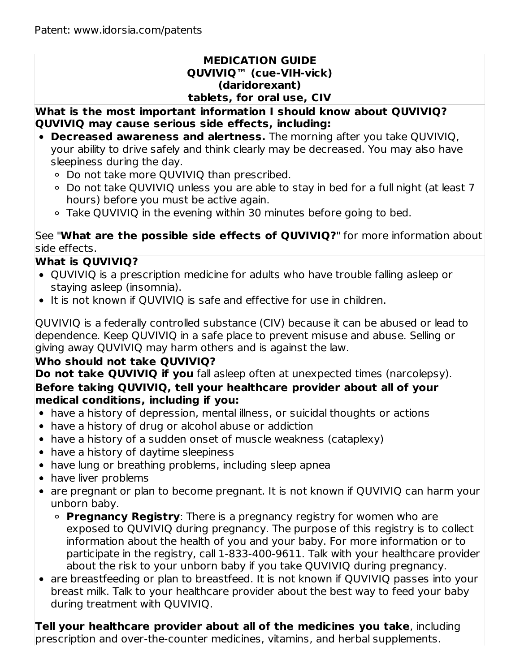#### **MEDICATION GUIDE QUVIVIQ™ (cue-VIH-vick) (daridorexant) tablets, for oral use, CIV**

**What is the most important information I should know about QUVIVIQ? QUVIVIQ may cause serious side effects, including:**

- **Decreased awareness and alertness.** The morning after you take QUVIVIQ, your ability to drive safely and think clearly may be decreased. You may also have sleepiness during the day.
	- Do not take more QUVIVIQ than prescribed.
	- Do not take QUVIVIQ unless you are able to stay in bed for a full night (at least 7 hours) before you must be active again.
	- Take QUVIVIQ in the evening within 30 minutes before going to bed.

See "**What are the possible side effects of QUVIVIQ?**" for more information about side effects.

# **What is QUVIVIQ?**

- QUVIVIQ is a prescription medicine for adults who have trouble falling asleep or staying asleep (insomnia).
- It is not known if QUVIVIQ is safe and effective for use in children.

QUVIVIQ is a federally controlled substance (CIV) because it can be abused or lead to dependence. Keep QUVIVIQ in a safe place to prevent misuse and abuse. Selling or giving away QUVIVIQ may harm others and is against the law.

# **Who should not take QUVIVIQ?**

**Do not take QUVIVIQ if you** fall asleep often at unexpected times (narcolepsy).

### **Before taking QUVIVIQ, tell your healthcare provider about all of your medical conditions, including if you:**

- have a history of depression, mental illness, or suicidal thoughts or actions
- have a history of drug or alcohol abuse or addiction
- have a history of a sudden onset of muscle weakness (cataplexy)
- have a history of daytime sleepiness
- have lung or breathing problems, including sleep apnea
- have liver problems
- are pregnant or plan to become pregnant. It is not known if QUVIVIQ can harm your unborn baby.
	- **Pregnancy Registry**: There is a pregnancy registry for women who are exposed to QUVIVIQ during pregnancy. The purpose of this registry is to collect information about the health of you and your baby. For more information or to participate in the registry, call 1-833-400-9611. Talk with your healthcare provider about the risk to your unborn baby if you take QUVIVIQ during pregnancy.
- are breastfeeding or plan to breastfeed. It is not known if QUVIVIQ passes into your breast milk. Talk to your healthcare provider about the best way to feed your baby during treatment with QUVIVIQ.

**Tell your healthcare provider about all of the medicines you take**, including prescription and over-the-counter medicines, vitamins, and herbal supplements.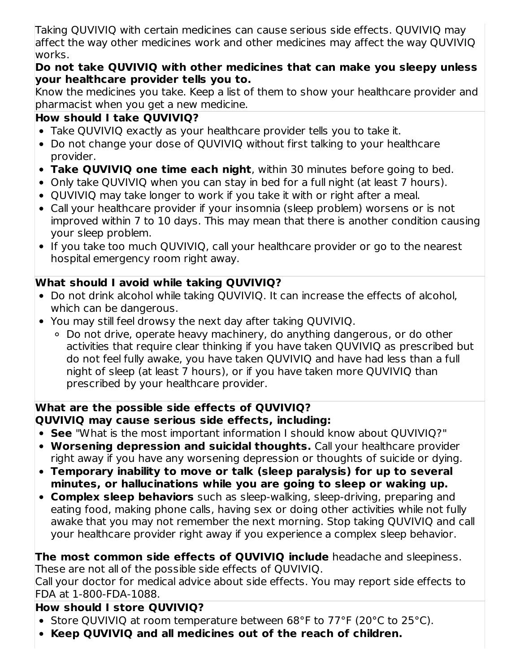Taking QUVIVIQ with certain medicines can cause serious side effects. QUVIVIQ may affect the way other medicines work and other medicines may affect the way QUVIVIQ works.

# **Do not take QUVIVIQ with other medicines that can make you sleepy unless your healthcare provider tells you to.**

Know the medicines you take. Keep a list of them to show your healthcare provider and pharmacist when you get a new medicine.

# **How should I take QUVIVIQ?**

- Take QUVIVIQ exactly as your healthcare provider tells you to take it.
- Do not change your dose of QUVIVIQ without first talking to your healthcare provider.
- **Take QUVIVIQ one time each night**, within 30 minutes before going to bed.
- Only take QUVIVIQ when you can stay in bed for a full night (at least 7 hours).
- QUVIVIQ may take longer to work if you take it with or right after a meal.
- Call your healthcare provider if your insomnia (sleep problem) worsens or is not improved within 7 to 10 days. This may mean that there is another condition causing your sleep problem.
- If you take too much QUVIVIQ, call your healthcare provider or go to the nearest hospital emergency room right away.

# **What should I avoid while taking QUVIVIQ?**

- Do not drink alcohol while taking QUVIVIQ. It can increase the effects of alcohol, which can be dangerous.
- You may still feel drowsy the next day after taking QUVIVIQ.
	- Do not drive, operate heavy machinery, do anything dangerous, or do other activities that require clear thinking if you have taken QUVIVIQ as prescribed but do not feel fully awake, you have taken QUVIVIQ and have had less than a full night of sleep (at least 7 hours), or if you have taken more QUVIVIQ than prescribed by your healthcare provider.

# **What are the possible side effects of QUVIVIQ? QUVIVIQ may cause serious side effects, including:**

- **See** "What is the most important information I should know about QUVIVIQ?"
- **Worsening depression and suicidal thoughts.** Call your healthcare provider right away if you have any worsening depression or thoughts of suicide or dying.
- **Temporary inability to move or talk (sleep paralysis) for up to several minutes, or hallucinations while you are going to sleep or waking up.**
- **Complex sleep behaviors** such as sleep-walking, sleep-driving, preparing and eating food, making phone calls, having sex or doing other activities while not fully awake that you may not remember the next morning. Stop taking QUVIVIQ and call your healthcare provider right away if you experience a complex sleep behavior.

### **The most common side effects of QUVIVIQ include** headache and sleepiness. These are not all of the possible side effects of QUVIVIQ.

Call your doctor for medical advice about side effects. You may report side effects to FDA at 1-800-FDA-1088.

# **How should I store QUVIVIQ?**

- Store QUVIVIQ at room temperature between 68°F to 77°F (20°C to 25°C).
- **Keep QUVIVIQ and all medicines out of the reach of children.**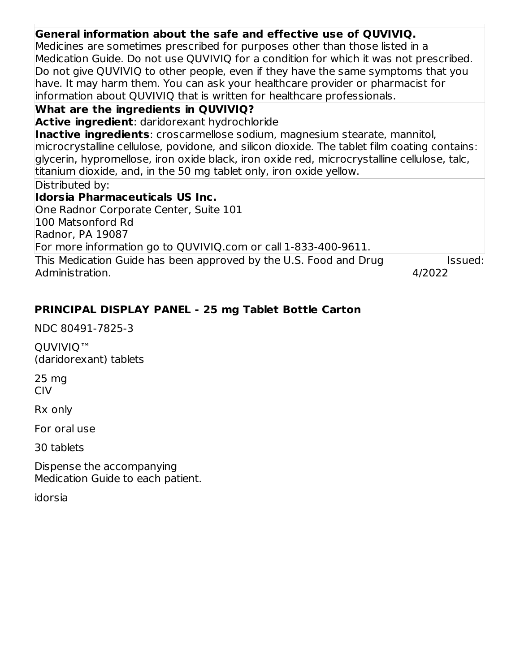| General information about the safe and effective use of QUVIVIQ.                                |  |
|-------------------------------------------------------------------------------------------------|--|
| Medicines are sometimes prescribed for purposes other than those listed in a                    |  |
| Medication Guide. Do not use QUVIVIQ for a condition for which it was not prescribed.           |  |
| Do not give QUVIVIQ to other people, even if they have the same symptoms that you               |  |
| have. It may harm them. You can ask your healthcare provider or pharmacist for                  |  |
| information about QUVIVIQ that is written for healthcare professionals.                         |  |
| <b>What are the ingredients in QUVIVIQ?</b>                                                     |  |
| <b>Active ingredient:</b> daridorexant hydrochloride                                            |  |
| <b>Inactive ingredients</b> : croscarmellose sodium, magnesium stearate, mannitol,              |  |
| $ microcrystalline cellulose, povidone, and silicon dioxide.$ The tablet film coating contains: |  |
| glycerin, hypromellose, iron oxide black, iron oxide red, microcrystalline cellulose, talc,     |  |
| titanium dioxide, and, in the 50 mg tablet only, iron oxide yellow.                             |  |
| Distributed by:                                                                                 |  |
| Idorsia Pharmaceuticals US Inc.                                                                 |  |
| One Radnor Corporate Center, Suite 101                                                          |  |
| 100 Matsonford Rd                                                                               |  |
| Radnor, PA 19087                                                                                |  |
| For more information go to QUVIVIQ.com or call 1-833-400-9611.                                  |  |
| This Medication Guide has been approved by the U.S. Food and Drug<br>Issued:                    |  |
| Administration.<br>4/2022                                                                       |  |
|                                                                                                 |  |

# **PRINCIPAL DISPLAY PANEL - 25 mg Tablet Bottle Carton**

NDC 80491-7825-3

QUVIVIQ<sup>™</sup> (daridorexant) tablets

25 mg CIV

Rx only

For oral use

30 tablets

Dispense the accompanying Medication Guide to each patient.

idorsia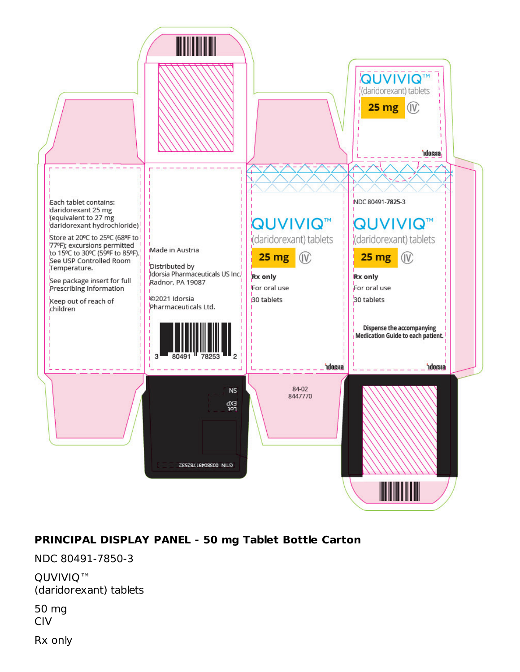

# **PRINCIPAL DISPLAY PANEL - 50 mg Tablet Bottle Carton**

NDC 80491-7850-3

QUVIVIQ™ (daridorexant) tablets

50 mg CIV

Rx only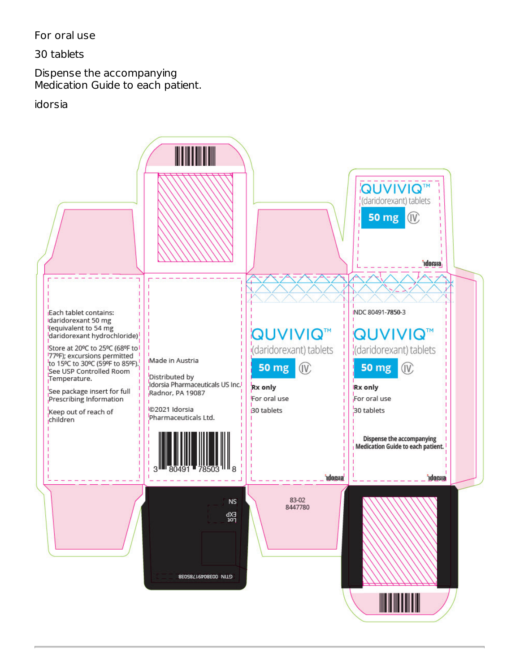For oral use

30 tablets

Dispense the accompanying Medication Guide to each patient.

idorsia

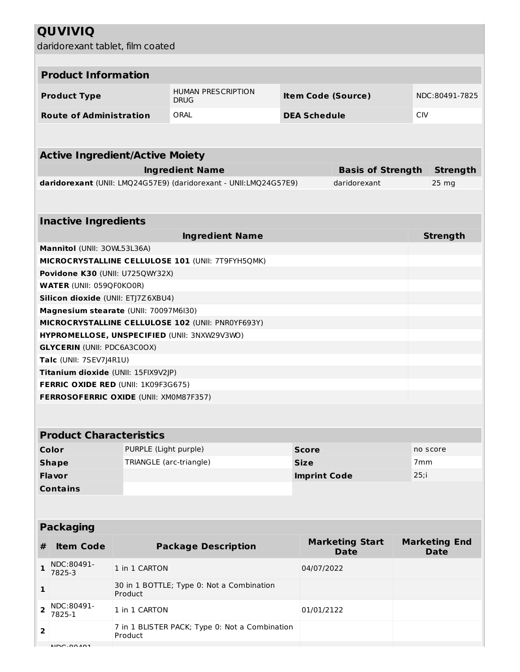# **QUVIVIQ**

daridorexant tablet, film coated

| udhuolexant tablet, hiin coateu                                             |                         |                                                                                            |                           |                                          |                 |                                     |  |  |  |
|-----------------------------------------------------------------------------|-------------------------|--------------------------------------------------------------------------------------------|---------------------------|------------------------------------------|-----------------|-------------------------------------|--|--|--|
| <b>Product Information</b>                                                  |                         |                                                                                            |                           |                                          |                 |                                     |  |  |  |
|                                                                             |                         |                                                                                            |                           |                                          |                 |                                     |  |  |  |
| <b>Product Type</b>                                                         |                         | <b>HUMAN PRESCRIPTION</b><br><b>DRUG</b>                                                   | <b>Item Code (Source)</b> |                                          | NDC:80491-7825  |                                     |  |  |  |
| <b>Route of Administration</b>                                              |                         | ORAL                                                                                       | <b>DEA Schedule</b>       |                                          | <b>CIV</b>      |                                     |  |  |  |
|                                                                             |                         |                                                                                            |                           |                                          |                 |                                     |  |  |  |
| <b>Active Ingredient/Active Moiety</b>                                      |                         |                                                                                            |                           |                                          |                 |                                     |  |  |  |
|                                                                             |                         | <b>Strength</b>                                                                            |                           |                                          |                 |                                     |  |  |  |
|                                                                             |                         | <b>Ingredient Name</b><br>daridorexant (UNII: LMQ24G57E9) (daridorexant - UNII:LMQ24G57E9) |                           | <b>Basis of Strength</b><br>daridorexant |                 | $25 \, mg$                          |  |  |  |
|                                                                             |                         |                                                                                            |                           |                                          |                 |                                     |  |  |  |
| <b>Inactive Ingredients</b>                                                 |                         |                                                                                            |                           |                                          |                 |                                     |  |  |  |
|                                                                             |                         | <b>Ingredient Name</b>                                                                     |                           |                                          |                 | <b>Strength</b>                     |  |  |  |
| Mannitol (UNII: 30WL53L36A)                                                 |                         |                                                                                            |                           |                                          |                 |                                     |  |  |  |
|                                                                             |                         | MICROCRYSTALLINE CELLULOSE 101 (UNII: 7T9FYH5QMK)                                          |                           |                                          |                 |                                     |  |  |  |
| Povidone K30 (UNII: U725QWY32X)                                             |                         |                                                                                            |                           |                                          |                 |                                     |  |  |  |
| <b>WATER (UNII: 059QF0KO0R)</b>                                             |                         |                                                                                            |                           |                                          |                 |                                     |  |  |  |
| Silicon dioxide (UNII: ETJ7Z6XBU4)<br>Magnesium stearate (UNII: 70097M6I30) |                         |                                                                                            |                           |                                          |                 |                                     |  |  |  |
|                                                                             |                         | MICROCRYSTALLINE CELLULOSE 102 (UNII: PNR0YF693Y)                                          |                           |                                          |                 |                                     |  |  |  |
|                                                                             |                         | HYPROMELLOSE, UNSPECIFIED (UNII: 3NXW29V3WO)                                               |                           |                                          |                 |                                     |  |  |  |
| <b>GLYCERIN (UNII: PDC6A3C0OX)</b>                                          |                         |                                                                                            |                           |                                          |                 |                                     |  |  |  |
| Talc (UNII: 7SEV7J4R1U)                                                     |                         |                                                                                            |                           |                                          |                 |                                     |  |  |  |
| Titanium dioxide (UNII: 15FIX9V2JP)                                         |                         |                                                                                            |                           |                                          |                 |                                     |  |  |  |
| FERRIC OXIDE RED (UNII: 1K09F3G675)                                         |                         |                                                                                            |                           |                                          |                 |                                     |  |  |  |
| FERROSOFERRIC OXIDE (UNII: XM0M87F357)                                      |                         |                                                                                            |                           |                                          |                 |                                     |  |  |  |
|                                                                             |                         |                                                                                            |                           |                                          |                 |                                     |  |  |  |
| <b>Product Characteristics</b>                                              |                         |                                                                                            |                           |                                          |                 |                                     |  |  |  |
| Color                                                                       | PURPLE (Light purple)   |                                                                                            | <b>Score</b>              |                                          |                 | no score                            |  |  |  |
| <b>Shape</b>                                                                | TRIANGLE (arc-triangle) |                                                                                            | <b>Size</b>               |                                          | 7 <sub>mm</sub> |                                     |  |  |  |
| <b>Flavor</b>                                                               |                         |                                                                                            | <b>Imprint Code</b>       |                                          | 25; i           |                                     |  |  |  |
| <b>Contains</b>                                                             |                         |                                                                                            |                           |                                          |                 |                                     |  |  |  |
|                                                                             |                         |                                                                                            |                           |                                          |                 |                                     |  |  |  |
| <b>Packaging</b>                                                            |                         |                                                                                            |                           |                                          |                 |                                     |  |  |  |
| <b>Item Code</b><br>#                                                       |                         | <b>Package Description</b>                                                                 |                           | <b>Marketing Start</b><br><b>Date</b>    |                 | <b>Marketing End</b><br><b>Date</b> |  |  |  |
| NDC:80491-<br>1<br>7825-3                                                   | 1 in 1 CARTON           |                                                                                            | 04/07/2022                |                                          |                 |                                     |  |  |  |
| 1                                                                           | Product                 | 30 in 1 BOTTLE; Type 0: Not a Combination                                                  |                           |                                          |                 |                                     |  |  |  |
| NDC:80491-<br>$\overline{2}$<br>7825-1                                      | 1 in 1 CARTON           |                                                                                            | 01/01/2122                |                                          |                 |                                     |  |  |  |
| $\overline{2}$                                                              | Product                 | 7 in 1 BLISTER PACK; Type 0: Not a Combination                                             |                           |                                          |                 |                                     |  |  |  |
| NDC.00101                                                                   |                         |                                                                                            |                           |                                          |                 |                                     |  |  |  |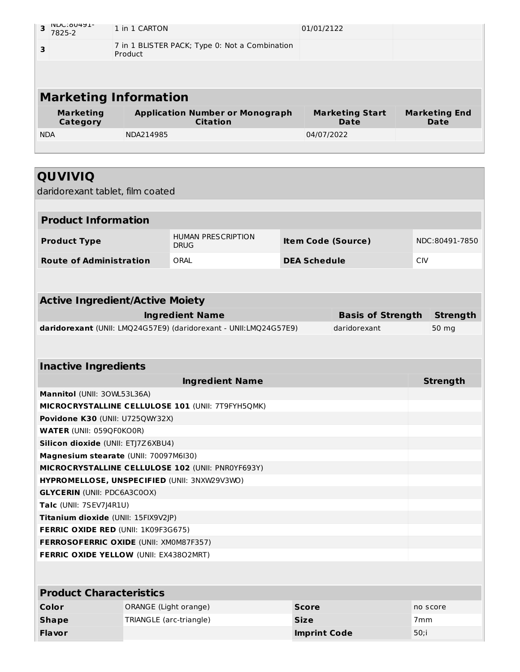| <b>INDC: 90491-</b><br>3<br>7825-2                                         | 1 in 1 CARTON                                             |                                                                  |             | 01/01/2122          |                                       |                 |                              |
|----------------------------------------------------------------------------|-----------------------------------------------------------|------------------------------------------------------------------|-------------|---------------------|---------------------------------------|-----------------|------------------------------|
| 3                                                                          | 7 in 1 BLISTER PACK; Type 0: Not a Combination<br>Product |                                                                  |             |                     |                                       |                 |                              |
|                                                                            |                                                           |                                                                  |             |                     |                                       |                 |                              |
| <b>Marketing Information</b>                                               |                                                           |                                                                  |             |                     |                                       |                 |                              |
| <b>Marketing</b><br><b>Category</b>                                        |                                                           | <b>Application Number or Monograph</b><br><b>Citation</b>        |             |                     | <b>Marketing Start</b><br><b>Date</b> |                 | <b>Marketing End</b><br>Date |
| <b>NDA</b>                                                                 | NDA214985                                                 |                                                                  |             | 04/07/2022          |                                       |                 |                              |
|                                                                            |                                                           |                                                                  |             |                     |                                       |                 |                              |
|                                                                            |                                                           |                                                                  |             |                     |                                       |                 |                              |
| QUVIVIQ                                                                    |                                                           |                                                                  |             |                     |                                       |                 |                              |
| daridorexant tablet, film coated                                           |                                                           |                                                                  |             |                     |                                       |                 |                              |
|                                                                            |                                                           |                                                                  |             |                     |                                       |                 |                              |
| <b>Product Information</b>                                                 |                                                           |                                                                  |             |                     |                                       |                 |                              |
| <b>Product Type</b>                                                        |                                                           | <b>HUMAN PRESCRIPTION</b><br><b>DRUG</b>                         |             |                     | <b>Item Code (Source)</b>             |                 | NDC:80491-7850               |
| <b>Route of Administration</b>                                             |                                                           | ORAL                                                             |             | <b>DEA Schedule</b> |                                       | <b>CIV</b>      |                              |
|                                                                            |                                                           |                                                                  |             |                     |                                       |                 |                              |
|                                                                            |                                                           |                                                                  |             |                     |                                       |                 |                              |
| <b>Active Ingredient/Active Moiety</b>                                     |                                                           |                                                                  |             |                     |                                       |                 |                              |
|                                                                            |                                                           | <b>Ingredient Name</b>                                           |             |                     | <b>Basis of Strength</b>              |                 | <b>Strength</b>              |
|                                                                            |                                                           | daridorexant (UNII: LMQ24G57E9) (daridorexant - UNII:LMQ24G57E9) |             |                     | daridorexant                          |                 | 50 mg                        |
|                                                                            |                                                           |                                                                  |             |                     |                                       |                 |                              |
| <b>Inactive Ingredients</b>                                                |                                                           |                                                                  |             |                     |                                       |                 |                              |
|                                                                            |                                                           | <b>Ingredient Name</b>                                           |             |                     |                                       |                 | <b>Strength</b>              |
| Mannitol (UNII: 30WL53L36A)                                                |                                                           |                                                                  |             |                     |                                       |                 |                              |
|                                                                            |                                                           | MICROCRYSTALLINE CELLULOSE 101 (UNII: 7T9FYH5QMK)                |             |                     |                                       |                 |                              |
| Povidone K30 (UNII: U725QWY32X)                                            |                                                           |                                                                  |             |                     |                                       |                 |                              |
| <b>WATER (UNII: 059QF0KO0R)</b>                                            |                                                           |                                                                  |             |                     |                                       |                 |                              |
| Silicon dioxide (UNII: ETJ7Z6XBU4)                                         |                                                           |                                                                  |             |                     |                                       |                 |                              |
| Magnesium stearate (UNII: 70097M6I30)                                      |                                                           |                                                                  |             |                     |                                       |                 |                              |
|                                                                            |                                                           | MICROCRYSTALLINE CELLULOSE 102 (UNII: PNR0YF693Y)                |             |                     |                                       |                 |                              |
|                                                                            |                                                           | HYPROMELLOSE, UNSPECIFIED (UNII: 3NXW29V3WO)                     |             |                     |                                       |                 |                              |
| <b>GLYCERIN (UNII: PDC6A3C0OX)</b>                                         |                                                           |                                                                  |             |                     |                                       |                 |                              |
| Talc (UNII: 7SEV7J4R1U)                                                    |                                                           |                                                                  |             |                     |                                       |                 |                              |
| Titanium dioxide (UNII: 15FIX9V2JP)<br>FERRIC OXIDE RED (UNII: 1K09F3G675) |                                                           |                                                                  |             |                     |                                       |                 |                              |
| <b>FERROSOFERRIC OXIDE (UNII: XM0M87F357)</b>                              |                                                           |                                                                  |             |                     |                                       |                 |                              |
| FERRIC OXIDE YELLOW (UNII: EX43802MRT)                                     |                                                           |                                                                  |             |                     |                                       |                 |                              |
|                                                                            |                                                           |                                                                  |             |                     |                                       |                 |                              |
|                                                                            |                                                           |                                                                  |             |                     |                                       |                 |                              |
| <b>Product Characteristics</b>                                             |                                                           |                                                                  |             |                     |                                       |                 |                              |
| Color                                                                      | ORANGE (Light orange)                                     |                                                                  |             | <b>Score</b>        |                                       |                 | no score                     |
| <b>Shape</b>                                                               | TRIANGLE (arc-triangle)                                   |                                                                  | <b>Size</b> |                     |                                       | 7 <sub>mm</sub> |                              |
| <b>Flavor</b>                                                              |                                                           |                                                                  |             | <b>Imprint Code</b> |                                       | $50;$ i         |                              |